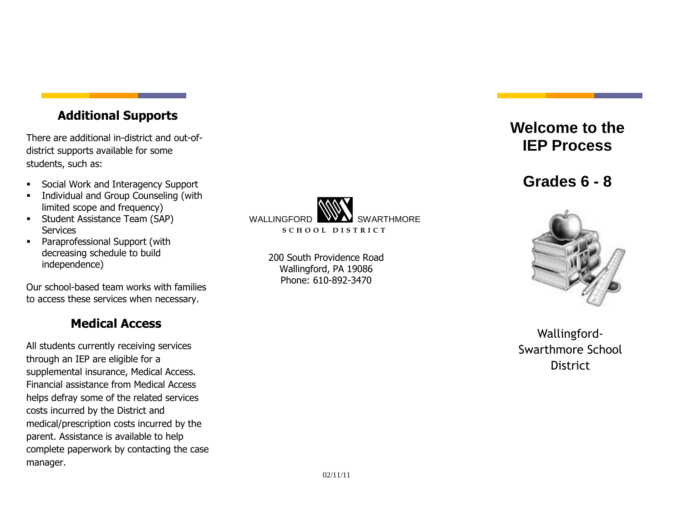## **Additional Supports**

There are additional in-district and out-ofdistrict supports available for some students, such as:

- Social Work and Interagency Support
- **Individual and Group Counseling (with** limited scope and frequency)
- **Student Assistance Team (SAP) Services**
- Paraprofessional Support (with decreasing schedule to build independence)

Our school-based team works with families to access these services when necessary.

### **Medical Access**

All students currently receiving services through an IEP are eligible for a supplemental insurance, Medical Access. Financial assistance from Medical Access helps defray some of the related services costs incurred by the District and medical/prescription costs incurred by the parent. Assistance is available to help complete paperwork by contacting the case manager.



200 South Providence Road Wallingford, PA 19086 Phone: 610-892-3470

# **Welcome to the IEP Process**

**Grades 6 - 8**



Wallingford-Swarthmore School **District**